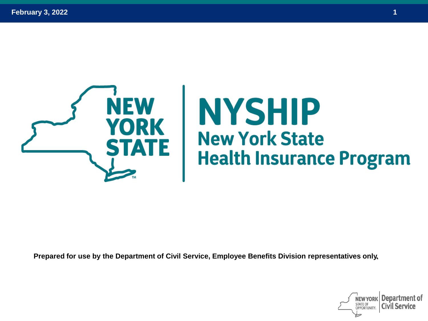

**Prepared for use by the Department of Civil Service, Employee Benefits Division representatives only.**

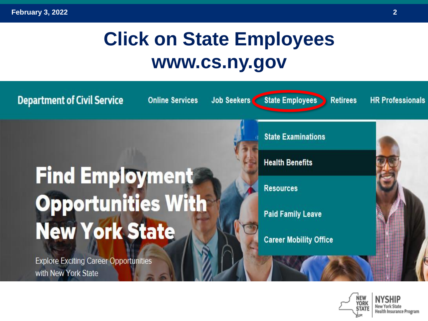# **Click on State Employees www.cs.ny.gov**



Health Insurance Program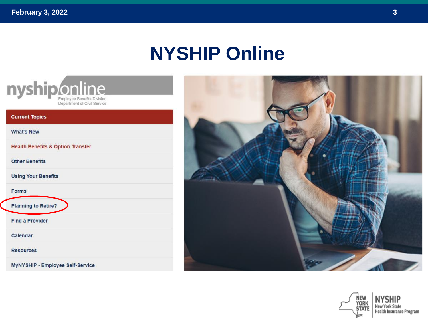#### **NYSHIP Online**



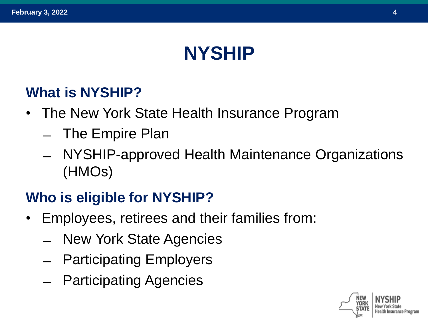## **NYSHIP**

#### **What is NYSHIP?**

- The New York State Health Insurance Program
	- ̶ The Empire Plan
	- ̶ NYSHIP-approved Health Maintenance Organizations (HMOs)

#### **Who is eligible for NYSHIP?**

- Employees, retirees and their families from:
	- ̶ New York State Agencies
	- ̶ Participating Employers
	- ̶ Participating Agencies

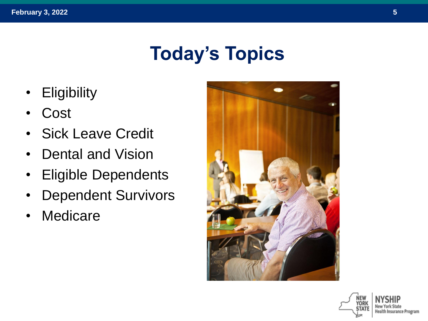# **Today's Topics**

- Eligibility
- **Cost**
- Sick Leave Credit
- Dental and Vision
- Eligible Dependents
- Dependent Survivors
- Medicare



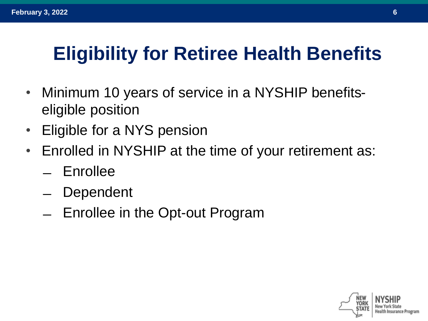# **Eligibility for Retiree Health Benefits**

- Minimum 10 years of service in a NYSHIP benefitseligible position
- Eligible for a NYS pension
- Enrolled in NYSHIP at the time of your retirement as:
	- ̶ Enrollee
	- **Dependent**
	- ̶ Enrollee in the Opt-out Program

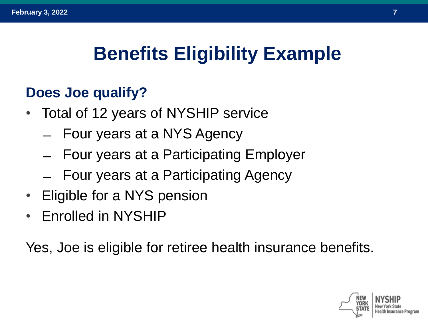# **Benefits Eligibility Example**

#### **Does Joe qualify?**

- Total of 12 years of NYSHIP service
	- ̶ Four years at a NYS Agency
	- ̶ Four years at a Participating Employer
	- ̶ Four years at a Participating Agency
- Eligible for a NYS pension
- Enrolled in NYSHIP

Yes, Joe is eligible for retiree health insurance benefits.

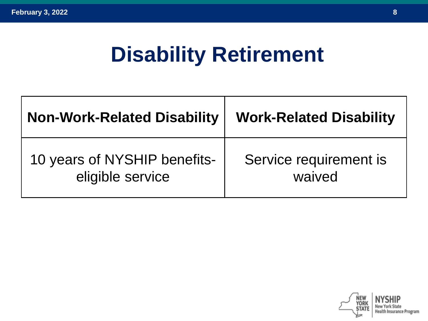# **Disability Retirement**

| <b>Non-Work-Related Disability</b> | <b>Work-Related Disability</b> |  |
|------------------------------------|--------------------------------|--|
| 10 years of NYSHIP benefits-       | Service requirement is         |  |
| eligible service                   | waived                         |  |

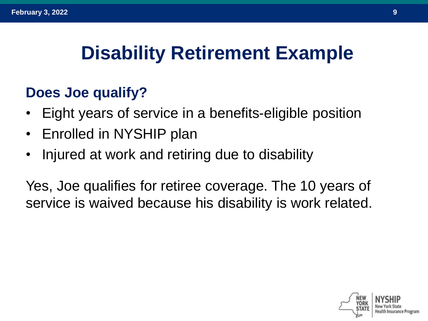## **Disability Retirement Example**

#### **Does Joe qualify?**

- Eight years of service in a benefits-eligible position
- Enrolled in NYSHIP plan
- Injured at work and retiring due to disability

Yes, Joe qualifies for retiree coverage. The 10 years of service is waived because his disability is work related.

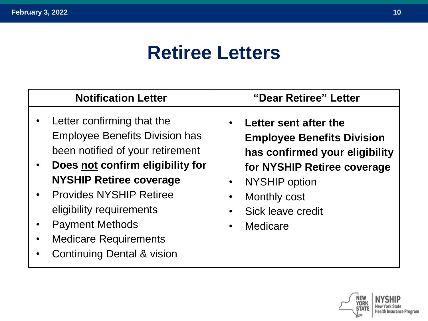## **Retiree Letters**

| <b>Notification Letter</b>                                                                                                                                                                                                                                                                                                                                                            | "Dear Retiree" Letter                                                                                                                                                                                                                               |
|---------------------------------------------------------------------------------------------------------------------------------------------------------------------------------------------------------------------------------------------------------------------------------------------------------------------------------------------------------------------------------------|-----------------------------------------------------------------------------------------------------------------------------------------------------------------------------------------------------------------------------------------------------|
| Letter confirming that the<br>$\bullet$<br><b>Employee Benefits Division has</b><br>been notified of your retirement<br>Does not confirm eligibility for<br>$\bullet$<br><b>NYSHIP Retiree coverage</b><br><b>Provides NYSHIP Retiree</b><br>$\bullet$<br>eligibility requirements<br><b>Payment Methods</b><br><b>Medicare Requirements</b><br><b>Continuing Dental &amp; vision</b> | Letter sent after the<br>$\bullet$<br><b>Employee Benefits Division</b><br>has confirmed your eligibility<br>for NYSHIP Retiree coverage<br>• NYSHIP option<br>Monthly cost<br>$\bullet$<br>Sick leave credit<br>$\bullet$<br>Medicare<br>$\bullet$ |

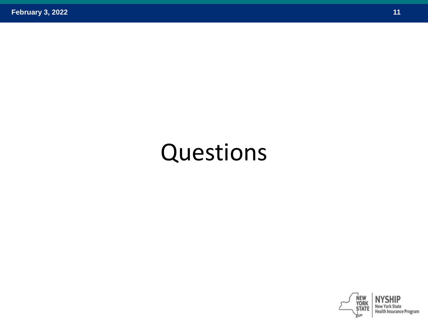# Questions

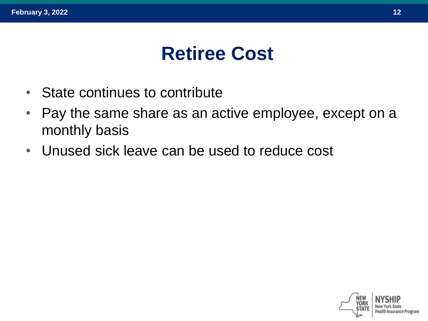#### **Retiree Cost**

- State continues to contribute
- Pay the same share as an active employee, except on a monthly basis
- Unused sick leave can be used to reduce cost

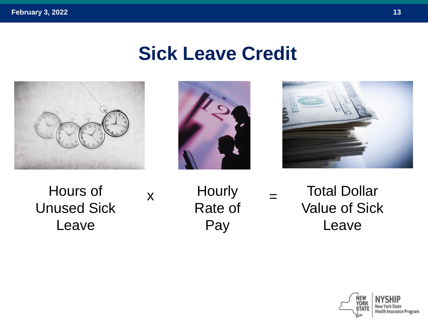#### **Sick Leave Credit**







Hours of Unused Sick Leave

 $x$  Hourly  $=$ Rate of Pay

Total Dollar Value of Sick Leave

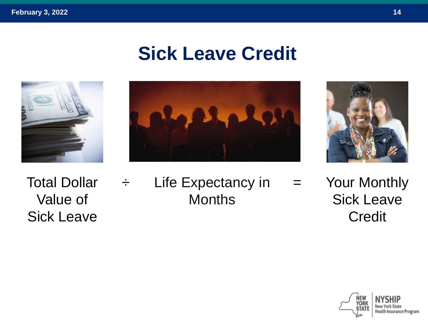## **Sick Leave Credit**





Total Dollar Value of Sick Leave

 $\div$  Life Expectancy in = **Months** Your Monthly Sick Leave **Credit** 

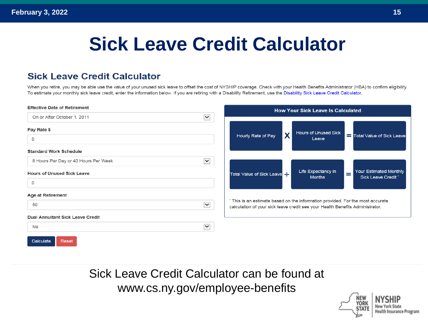# **Sick Leave Credit Calculator**

#### **Sick Leave Credit Calculator**

When you retire, you may be able use the value of your unused sick leave to offset the cost of NYSHIP coverage. Check with your Health Benefits Administrator (HBA) to confirm eligibility. To estimate your monthly sick leave credit, enter the information below. If you are retiring with a Disability Retirement, use the Disability Sick Leave Credit Calculator.

| <b>Effective Date of Retirement</b>                          | <b>How Your Sick Leave Is Calculated</b>                                                                                                                        |  |
|--------------------------------------------------------------|-----------------------------------------------------------------------------------------------------------------------------------------------------------------|--|
| $\blacktriangledown$<br>On or After October 1, 2011          |                                                                                                                                                                 |  |
| Pay Rate \$<br>0                                             | <b>Hours of Unused Sick</b><br>X<br>Hourly Rate of Pay<br>Total Value of Sick Leave<br>Leave                                                                    |  |
| <b>Standard Work Schedule</b>                                |                                                                                                                                                                 |  |
| 8 Hours Per Day or 40 Hours Per Week<br>$\blacktriangledown$ |                                                                                                                                                                 |  |
| <b>Hours of Unused Sick Leave</b><br>0                       | Your Estimated Monthly<br>Life Expectancy in<br>÷<br>Total Value of Sick Leave<br><b>Sick Leave Credit *</b><br><b>Months</b>                                   |  |
| <b>Age at Retirement</b>                                     |                                                                                                                                                                 |  |
| $\blacktriangledown$<br>50                                   | * This is an estimate based on the information provided. For the most accurate<br>calculation of your sick leave credit see your Health Benefits Administrator. |  |
| <b>Dual Annuitant Sick Leave Credit</b>                      |                                                                                                                                                                 |  |
| $\checkmark$<br>No                                           |                                                                                                                                                                 |  |
| Calculate<br>Reset                                           |                                                                                                                                                                 |  |

#### Sick Leave Credit Calculator can be found at www.cs.ny.gov/employee-benefits

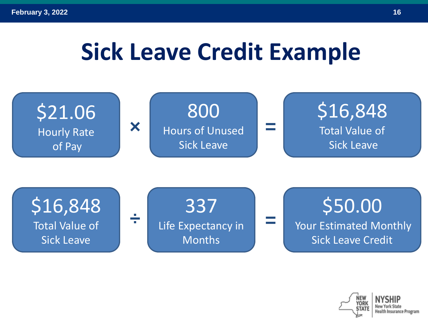# **Sick Leave Credit Example**



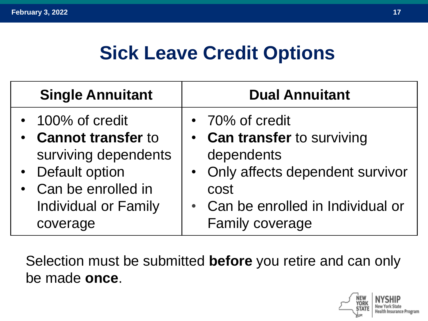## **Sick Leave Credit Options**

| <b>Single Annuitant</b>                                                                                                         |                      | <b>Dual Annuitant</b>                                                                                                                                                     |
|---------------------------------------------------------------------------------------------------------------------------------|----------------------|---------------------------------------------------------------------------------------------------------------------------------------------------------------------------|
| • 100% of credit<br>• Cannot transfer to<br>• Default option<br>• Can be enrolled in<br><b>Individual or Family</b><br>coverage | surviving dependents | • 70% of credit<br>• Can transfer to surviving<br>dependents<br>• Only affects dependent survivor<br>cost<br>• Can be enrolled in Individual or<br><b>Family coverage</b> |

Selection must be submitted **before** you retire and can only be made **once**.

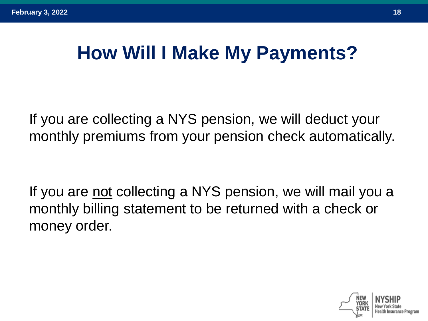## **How Will I Make My Payments?**

If you are collecting a NYS pension, we will deduct your monthly premiums from your pension check automatically.

If you are not collecting a NYS pension, we will mail you a monthly billing statement to be returned with a check or money order.

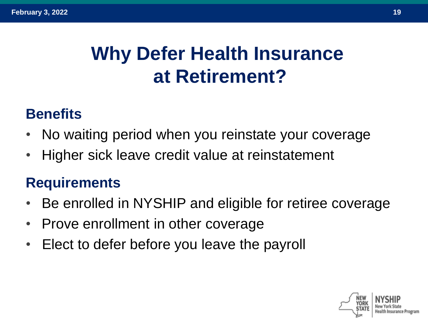# **Why Defer Health Insurance at Retirement?**

#### **Benefits**

- No waiting period when you reinstate your coverage
- Higher sick leave credit value at reinstatement

#### **Requirements**

- Be enrolled in NYSHIP and eligible for retiree coverage
- Prove enrollment in other coverage
- Elect to defer before you leave the payroll

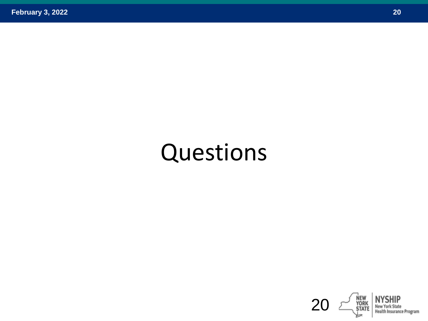# Questions

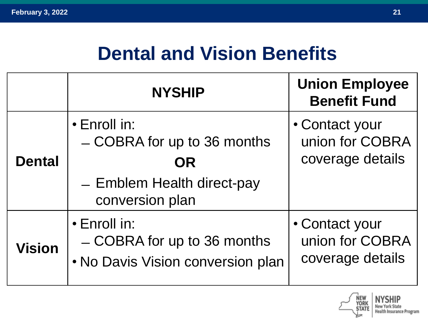## **Dental and Vision Benefits**

|               | <b>NYSHIP</b>                                                                                      | <b>Union Employee</b><br><b>Benefit Fund</b>          |
|---------------|----------------------------------------------------------------------------------------------------|-------------------------------------------------------|
| <b>Dental</b> | • Enroll in:<br>- COBRA for up to 36 months<br>OR<br>- Emblem Health direct-pay<br>conversion plan | • Contact your<br>union for COBRA<br>coverage details |
| <b>Vision</b> | $\cdot$ Enroll in:<br>- COBRA for up to 36 months<br>• No Davis Vision conversion plan             | • Contact your<br>union for COBRA<br>coverage details |

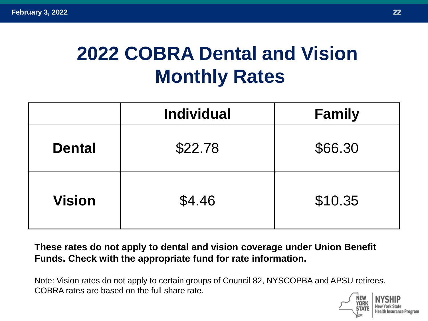# **2022 COBRA Dental and Vision Monthly Rates**

|               | <b>Individual</b> | <b>Family</b> |
|---------------|-------------------|---------------|
| <b>Dental</b> | \$22.78           | \$66.30       |
| <b>Vision</b> | \$4.46            | \$10.35       |

**These rates do not apply to dental and vision coverage under Union Benefit Funds. Check with the appropriate fund for rate information.**

Note: Vision rates do not apply to certain groups of Council 82, NYSCOPBA and APSU retirees. COBRA rates are based on the full share rate.

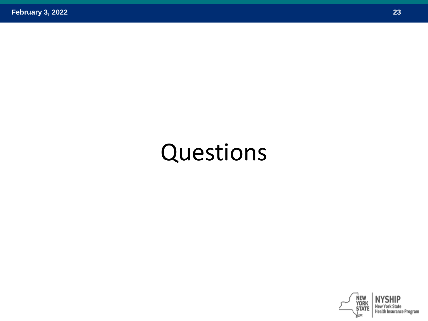# Questions

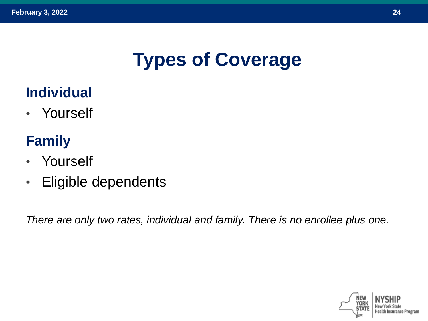# **Types of Coverage**

#### **Individual**

• Yourself

#### **Family**

- Yourself
- Eligible dependents

*There are only two rates, individual and family. There is no enrollee plus one.*

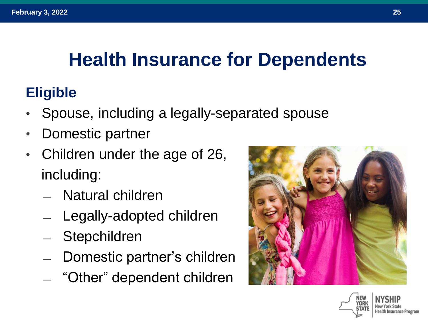# **Health Insurance for Dependents**

#### **Eligible**

- Spouse, including a legally-separated spouse
- Domestic partner
- Children under the age of 26, including:
	- ̶ Natural children
	- Legally-adopted children
	- **Stepchildren**
	- Domestic partner's children
	- ̶ "Other" dependent children



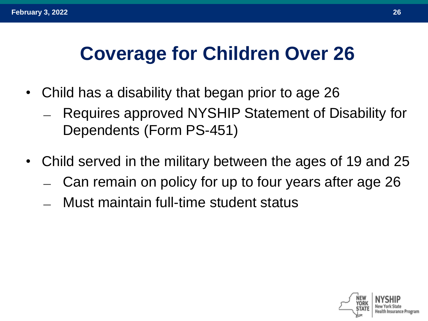## **Coverage for Children Over 26**

- Child has a disability that began prior to age 26
	- ̶ Requires approved NYSHIP Statement of Disability for Dependents (Form PS-451)
- Child served in the military between the ages of 19 and 25
	- ̶ Can remain on policy for up to four years after age 26
	- ̶ Must maintain full-time student status

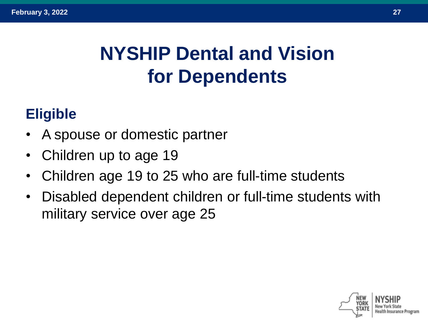# **NYSHIP Dental and Vision for Dependents**

#### **Eligible**

- A spouse or domestic partner
- Children up to age 19
- Children age 19 to 25 who are full-time students
- Disabled dependent children or full-time students with military service over age 25

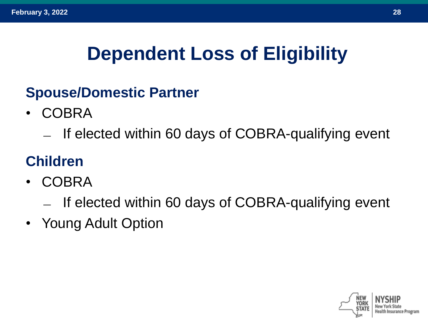# **Dependent Loss of Eligibility**

#### **Spouse/Domestic Partner**

- COBRA
	- ̶ If elected within 60 days of COBRA-qualifying event

#### **Children**

- COBRA
	- ̶ If elected within 60 days of COBRA-qualifying event
- Young Adult Option

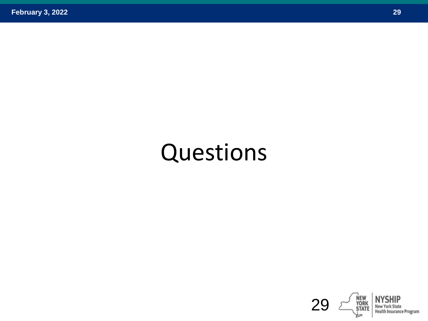# Questions

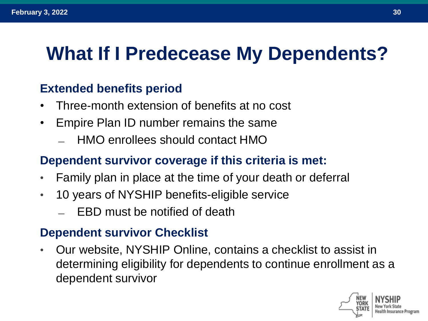## **What If I Predecease My Dependents?**

#### **Extended benefits period**

- Three-month extension of benefits at no cost
- Empire Plan ID number remains the same
	- ̶ HMO enrollees should contact HMO

#### **Dependent survivor coverage if this criteria is met:**

- Family plan in place at the time of your death or deferral
- 10 years of NYSHIP benefits-eligible service
	- ̶ EBD must be notified of death

#### **Dependent survivor Checklist**

• Our website, NYSHIP Online, contains a checklist to assist in determining eligibility for dependents to continue enrollment as a dependent survivor

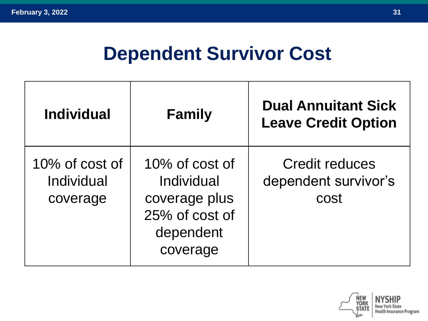#### **Dependent Survivor Cost**

| <b>Individual</b>                        | <b>Family</b>                                                                            | <b>Dual Annuitant Sick</b><br><b>Leave Credit Option</b> |
|------------------------------------------|------------------------------------------------------------------------------------------|----------------------------------------------------------|
| 10% of cost of<br>Individual<br>coverage | 10% of cost of<br>Individual<br>coverage plus<br>25% of cost of<br>dependent<br>coverage | <b>Credit reduces</b><br>dependent survivor's<br>cost    |

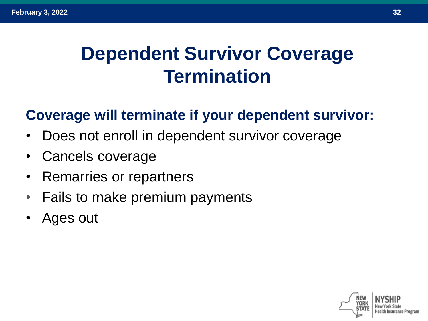## **Dependent Survivor Coverage Termination**

#### **Coverage will terminate if your dependent survivor:**

- Does not enroll in dependent survivor coverage
- Cancels coverage
- Remarries or repartners
- Fails to make premium payments
- Ages out

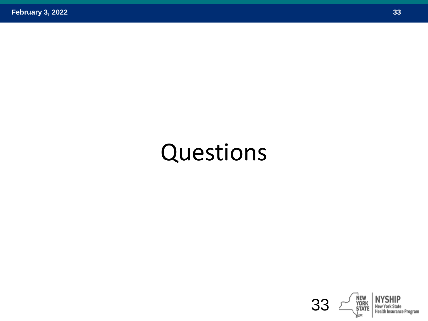# Questions

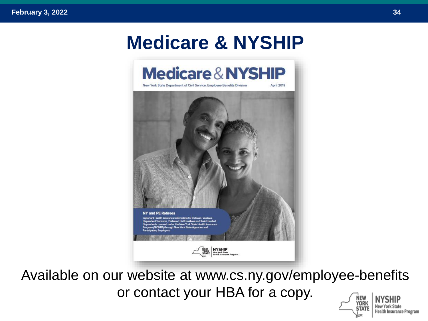### **Medicare & NYSHIP**



Available on our website at www.cs.ny.gov/employee-benefits or contact your HBA for a copy.YORK

**New York State** 

**Health Insurance Program** 

**STATE**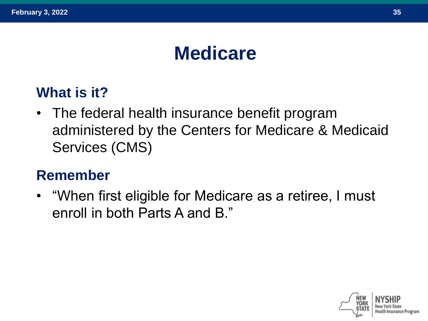## **Medicare**

#### **What is it?**

• The federal health insurance benefit program administered by the Centers for Medicare & Medicaid Services (CMS)

#### **Remember**

• "When first eligible for Medicare as a retiree, I must enroll in both Parts A and B."

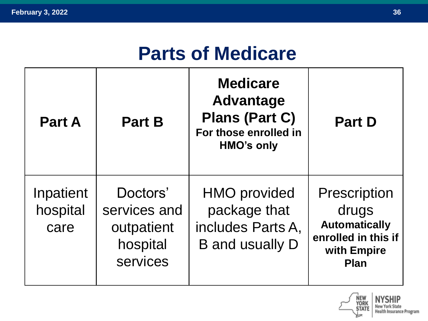#### **Parts of Medicare**

| <b>Part A</b>                 | <b>Part B</b>                                                  | <b>Medicare</b><br><b>Advantage</b><br><b>Plans (Part C)</b><br>For those enrolled in<br><b>HMO's only</b> | <b>Part D</b>                                                                                             |
|-------------------------------|----------------------------------------------------------------|------------------------------------------------------------------------------------------------------------|-----------------------------------------------------------------------------------------------------------|
| Inpatient<br>hospital<br>care | Doctors'<br>services and<br>outpatient<br>hospital<br>services | <b>HMO</b> provided<br>package that<br>includes Parts A,<br><b>B</b> and usually D                         | <b>Prescription</b><br>drugs<br><b>Automatically</b><br>enrolled in this if<br>with Empire<br><b>Plan</b> |

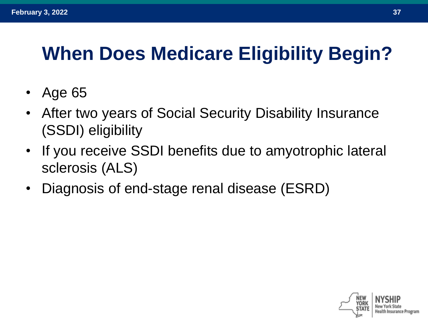# **When Does Medicare Eligibility Begin?**

- Age 65
- After two years of Social Security Disability Insurance (SSDI) eligibility
- If you receive SSDI benefits due to amyotrophic lateral sclerosis (ALS)
- Diagnosis of end-stage renal disease (ESRD)

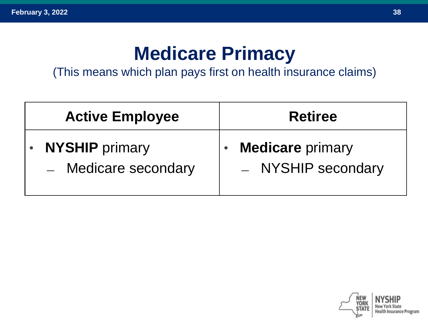#### **Medicare Primacy**

(This means which plan pays first on health insurance claims)

| <b>Active Employee</b>                        | <b>Retiree</b>                                             |
|-----------------------------------------------|------------------------------------------------------------|
| <b>NYSHIP</b> primary<br>- Medicare secondary | <b>Medicare</b> primary<br>$\bullet$<br>- NYSHIP secondary |

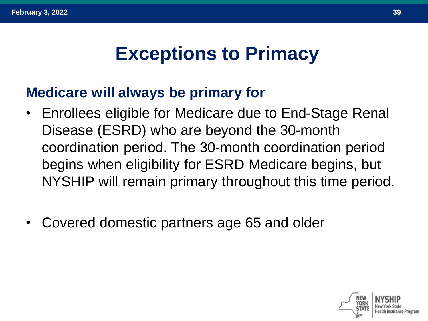## **Exceptions to Primacy**

#### **Medicare will always be primary for**

- Enrollees eligible for Medicare due to End-Stage Renal Disease (ESRD) who are beyond the 30-month coordination period. The 30-month coordination period begins when eligibility for ESRD Medicare begins, but NYSHIP will remain primary throughout this time period.
- Covered domestic partners age 65 and older

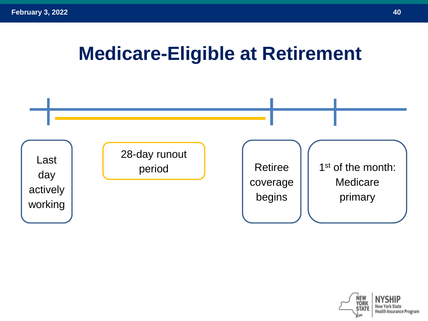#### **Medicare-Eligible at Retirement**



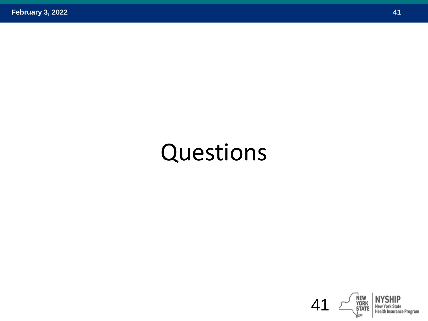# Questions

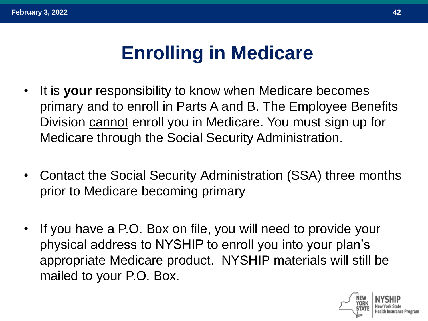## **Enrolling in Medicare**

- It is **your** responsibility to know when Medicare becomes primary and to enroll in Parts A and B. The Employee Benefits Division cannot enroll you in Medicare. You must sign up for Medicare through the Social Security Administration.
- Contact the Social Security Administration (SSA) three months prior to Medicare becoming primary
- If you have a P.O. Box on file, you will need to provide your physical address to NYSHIP to enroll you into your plan's appropriate Medicare product. NYSHIP materials will still be mailed to your P.O. Box.

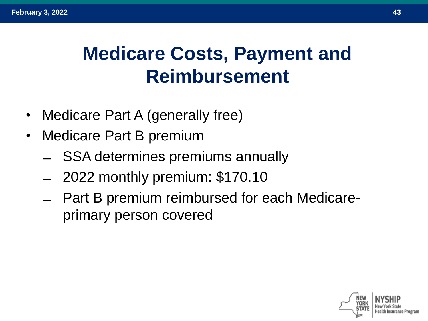# **Medicare Costs, Payment and Reimbursement**

- Medicare Part A (generally free)
- Medicare Part B premium
	- ̶ SSA determines premiums annually
	- ̶ 2022 monthly premium: \$170.10
	- ̶ Part B premium reimbursed for each Medicareprimary person covered

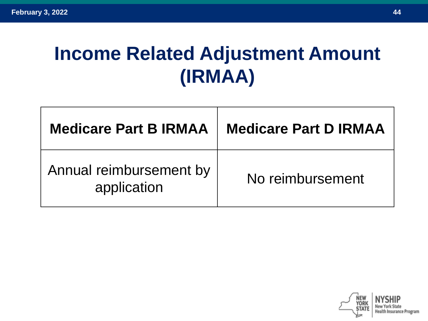# **Income Related Adjustment Amount (IRMAA)**

| <b>Medicare Part B IRMAA</b>           | <b>Medicare Part D IRMAA</b> |
|----------------------------------------|------------------------------|
| Annual reimbursement by<br>application | No reimbursement             |

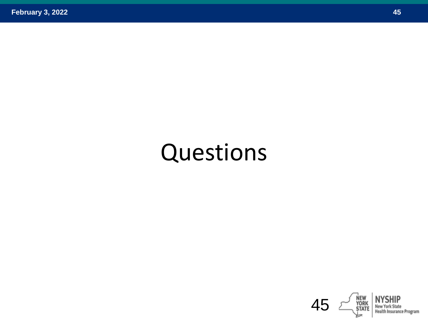# Questions

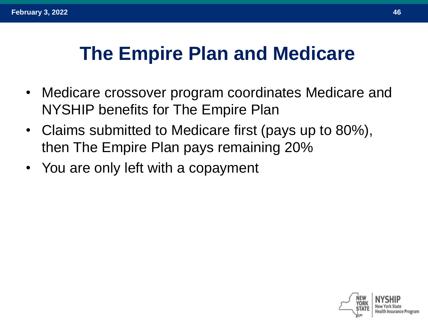## **The Empire Plan and Medicare**

- Medicare crossover program coordinates Medicare and NYSHIP benefits for The Empire Plan
- Claims submitted to Medicare first (pays up to 80%), then The Empire Plan pays remaining 20%
- You are only left with a copayment

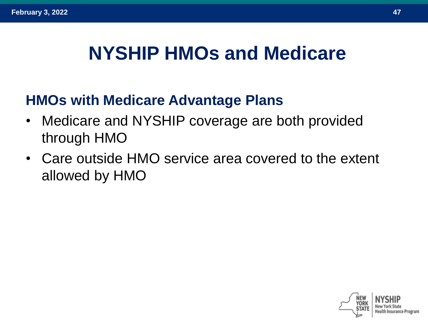#### **NYSHIP HMOs and Medicare**

#### **HMOs with Medicare Advantage Plans**

- Medicare and NYSHIP coverage are both provided through HMO
- Care outside HMO service area covered to the extent allowed by HMO

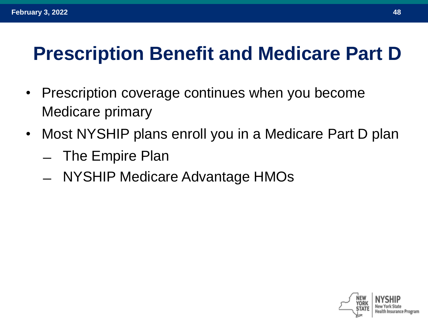## **Prescription Benefit and Medicare Part D**

- Prescription coverage continues when you become Medicare primary
- Most NYSHIP plans enroll you in a Medicare Part D plan
	- ̶ The Empire Plan
	- ̶ NYSHIP Medicare Advantage HMOs

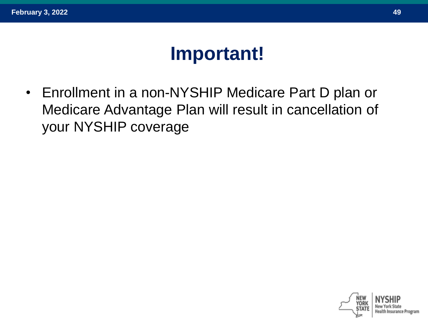#### **Important!**

• Enrollment in a non-NYSHIP Medicare Part D plan or Medicare Advantage Plan will result in cancellation of your NYSHIP coverage

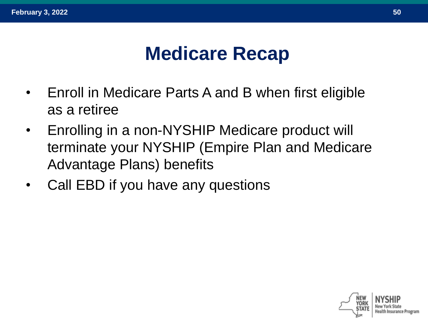#### **Medicare Recap**

- Enroll in Medicare Parts A and B when first eligible as a retiree
- Enrolling in a non-NYSHIP Medicare product will terminate your NYSHIP (Empire Plan and Medicare Advantage Plans) benefits
- Call EBD if you have any questions

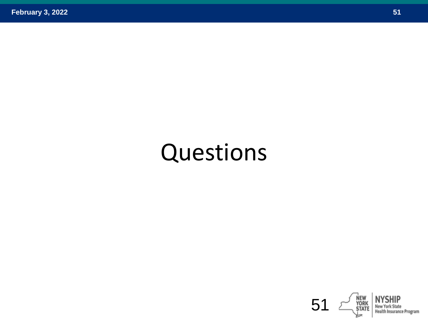# Questions

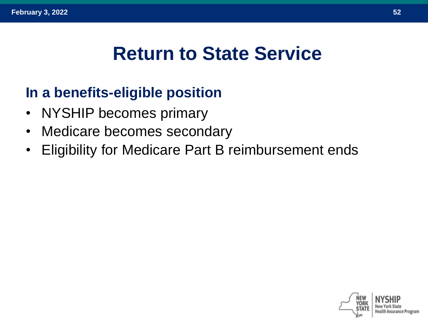#### **Return to State Service**

#### **In a benefits-eligible position**

- NYSHIP becomes primary
- Medicare becomes secondary
- Eligibility for Medicare Part B reimbursement ends

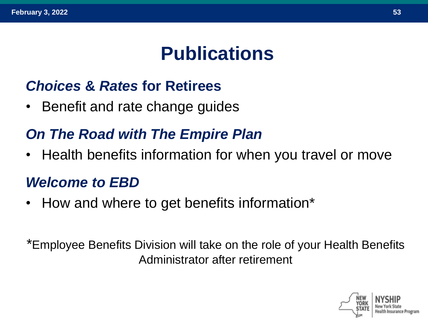### **Publications**

#### *Choices* **&** *Rates* **for Retirees**

• Benefit and rate change guides

#### *On The Road with The Empire Plan*

• Health benefits information for when you travel or move

#### *Welcome to EBD*

• How and where to get benefits information\*

\*Employee Benefits Division will take on the role of your Health Benefits Administrator after retirement

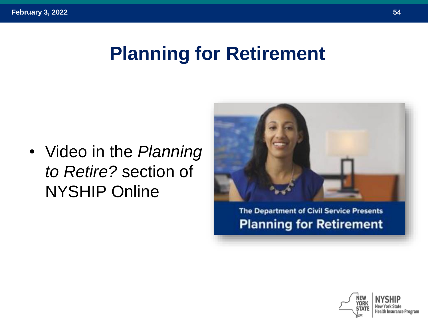## **Planning for Retirement**

• Video in the *Planning to Retire?* section of NYSHIP Online



**The Department of Civil Service Presents Planning for Retirement** 

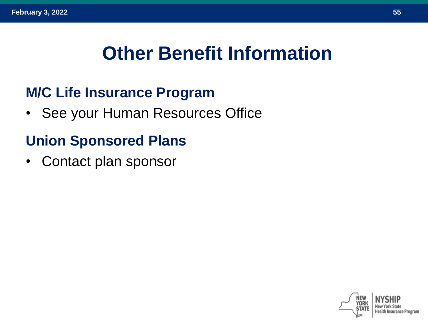## **Other Benefit Information**

#### **M/C Life Insurance Program**

• See your Human Resources Office

#### **Union Sponsored Plans**

• Contact plan sponsor

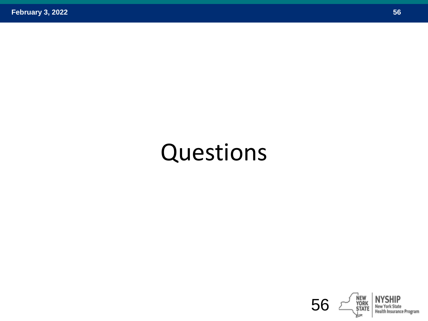# Questions